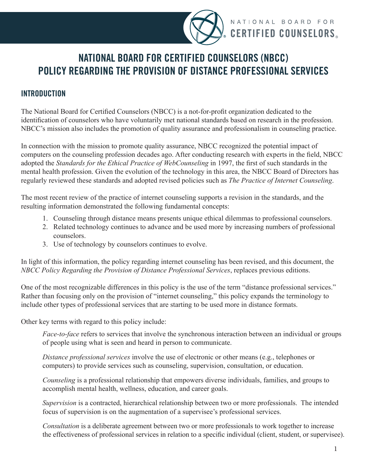

NATIONAL BOARD FOR **CERTIFIED COUNSELORS.** 

## **NATIONAL BOARD FOR CERTIFIED COUNSELORS (NBCC) POLICY REGARDING THE PROVISION OF DISTANCE PROFESSIONAL SERVICES**

## **INTRODUCTION**

The National Board for Certified Counselors (NBCC) is a not-for-profit organization dedicated to the identification of counselors who have voluntarily met national standards based on research in the profession. NBCC's mission also includes the promotion of quality assurance and professionalism in counseling practice.

In connection with the mission to promote quality assurance, NBCC recognized the potential impact of computers on the counseling profession decades ago. After conducting research with experts in the field, NBCC adopted the *Standards for the Ethical Practice of WebCounseling* in 1997, the first of such standards in the mental health profession. Given the evolution of the technology in this area, the NBCC Board of Directors has regularly reviewed these standards and adopted revised policies such as *The Practice of Internet Counseling*.

The most recent review of the practice of internet counseling supports a revision in the standards, and the resulting information demonstrated the following fundamental concepts:

- 1. Counseling through distance means presents unique ethical dilemmas to professional counselors.
- 2. Related technology continues to advance and be used more by increasing numbers of professional counselors.
- 3. Use of technology by counselors continues to evolve.

In light of this information, the policy regarding internet counseling has been revised, and this document, the *NBCC Policy Regarding the Provision of Distance Professional Services*, replaces previous editions.

One of the most recognizable differences in this policy is the use of the term "distance professional services." Rather than focusing only on the provision of "internet counseling," this policy expands the terminology to include other types of professional services that are starting to be used more in distance formats.

Other key terms with regard to this policy include:

*Face-to-face* refers to services that involve the synchronous interaction between an individual or groups of people using what is seen and heard in person to communicate.

*Distance professional services* involve the use of electronic or other means (e.g., telephones or computers) to provide services such as counseling, supervision, consultation, or education.

*Counseling* is a professional relationship that empowers diverse individuals, families, and groups to accomplish mental health, wellness, education, and career goals.

*Supervision* is a contracted, hierarchical relationship between two or more professionals. The intended focus of supervision is on the augmentation of a supervisee's professional services.

*Consultation* is a deliberate agreement between two or more professionals to work together to increase the effectiveness of professional services in relation to a specific individual (client, student, or supervisee).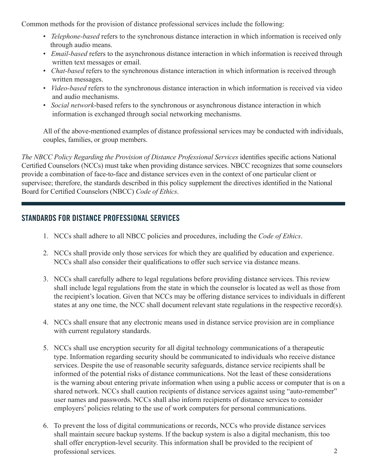Common methods for the provision of distance professional services include the following:

- *Telephone-based* refers to the synchronous distance interaction in which information is received only through audio means.
- *Email-based* refers to the asynchronous distance interaction in which information is received through written text messages or email.
- *Chat-based* refers to the synchronous distance interaction in which information is received through written messages.
- *Video-based* refers to the synchronous distance interaction in which information is received via video and audio mechanisms.
- *Social network*-based refers to the synchronous or asynchronous distance interaction in which information is exchanged through social networking mechanisms.

All of the above-mentioned examples of distance professional services may be conducted with individuals, couples, families, or group members.

*The NBCC Policy Regarding the Provision of Distance Professional Services* identifies specific actions National Certified Counselors (NCCs) must take when providing distance services. NBCC recognizes that some counselors provide a combination of face-to-face and distance services even in the context of one particular client or supervisee; therefore, the standards described in this policy supplement the directives identified in the National Board for Certified Counselors (NBCC) *Code of Ethics*.

## **STANDARDS FOR DISTANCE PROFESSIONAL SERVICES**

- 1. NCCs shall adhere to all NBCC policies and procedures, including the *Code of Ethics*.
- 2. NCCs shall provide only those services for which they are qualified by education and experience. NCCs shall also consider their qualifications to offer such service via distance means.
- 3. NCCs shall carefully adhere to legal regulations before providing distance services. This review shall include legal regulations from the state in which the counselor is located as well as those from the recipient's location. Given that NCCs may be offering distance services to individuals in different states at any one time, the NCC shall document relevant state regulations in the respective record(s).
- 4. NCCs shall ensure that any electronic means used in distance service provision are in compliance with current regulatory standards.
- 5. NCCs shall use encryption security for all digital technology communications of a therapeutic type. Information regarding security should be communicated to individuals who receive distance services. Despite the use of reasonable security safeguards, distance service recipients shall be informed of the potential risks of distance communications. Not the least of these considerations is the warning about entering private information when using a public access or computer that is on a shared network. NCCs shall caution recipients of distance services against using "auto-remember" user names and passwords. NCCs shall also inform recipients of distance services to consider employers' policies relating to the use of work computers for personal communications.
- 6. To prevent the loss of digital communications or records, NCCs who provide distance services shall maintain secure backup systems. If the backup system is also a digital mechanism, this too shall offer encryption-level security. This information shall be provided to the recipient of professional services. 2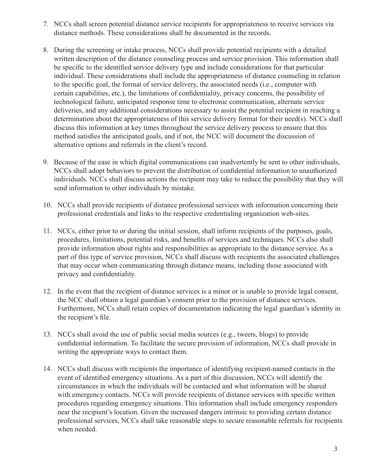- 7. NCCs shall screen potential distance service recipients for appropriateness to receive services via distance methods. These considerations shall be documented in the records.
- 8. During the screening or intake process, NCCs shall provide potential recipients with a detailed written description of the distance counseling process and service provision. This information shall be specific to the identified service delivery type and include considerations for that particular individual. These considerations shall include the appropriateness of distance counseling in relation to the specific goal, the format of service delivery, the associated needs (i.e., computer with certain capabilities, etc.), the limitations of confidentiality, privacy concerns, the possibility of technological failure, anticipated response time to electronic communication, alternate service deliveries, and any additional considerations necessary to assist the potential recipient in reaching a determination about the appropriateness of this service delivery format for their need(s). NCCs shall discuss this information at key times throughout the service delivery process to ensure that this method satisfies the anticipated goals, and if not, the NCC will document the discussion of alternative options and referrals in the client's record.
- 9. Because of the ease in which digital communications can inadvertently be sent to other individuals, NCCs shall adopt behaviors to prevent the distribution of confidential information to unauthorized individuals. NCCs shall discuss actions the recipient may take to reduce the possibility that they will send information to other individuals by mistake.
- 10. NCCs shall provide recipients of distance professional services with information concerning their professional credentials and links to the respective credentialing organization web-sites.
- 11. NCCs, either prior to or during the initial session, shall inform recipients of the purposes, goals, procedures, limitations, potential risks, and benefits of services and techniques. NCCs also shall provide information about rights and responsibilities as appropriate to the distance service. As a part of this type of service provision, NCCs shall discuss with recipients the associated challenges that may occur when communicating through distance means, including those associated with privacy and confidentiality.
- 12. In the event that the recipient of distance services is a minor or is unable to provide legal consent, the NCC shall obtain a legal guardian's consent prior to the provision of distance services. Furthermore, NCCs shall retain copies of documentation indicating the legal guardian's identity in the recipient's file.
- 13. NCCs shall avoid the use of public social media sources (e.g., tweets, blogs) to provide confidential information. To facilitate the secure provision of information, NCCs shall provide in writing the appropriate ways to contact them.
- 14. NCCs shall discuss with recipients the importance of identifying recipient-named contacts in the event of identified emergency situations. As a part of this discussion, NCCs will identify the circumstances in which the individuals will be contacted and what information will be shared with emergency contacts. NCCs will provide recipients of distance services with specific written procedures regarding emergency situations. This information shall include emergency responders near the recipient's location. Given the increased dangers intrinsic to providing certain distance professional services, NCCs shall take reasonable steps to secure reasonable referrals for recipients when needed.